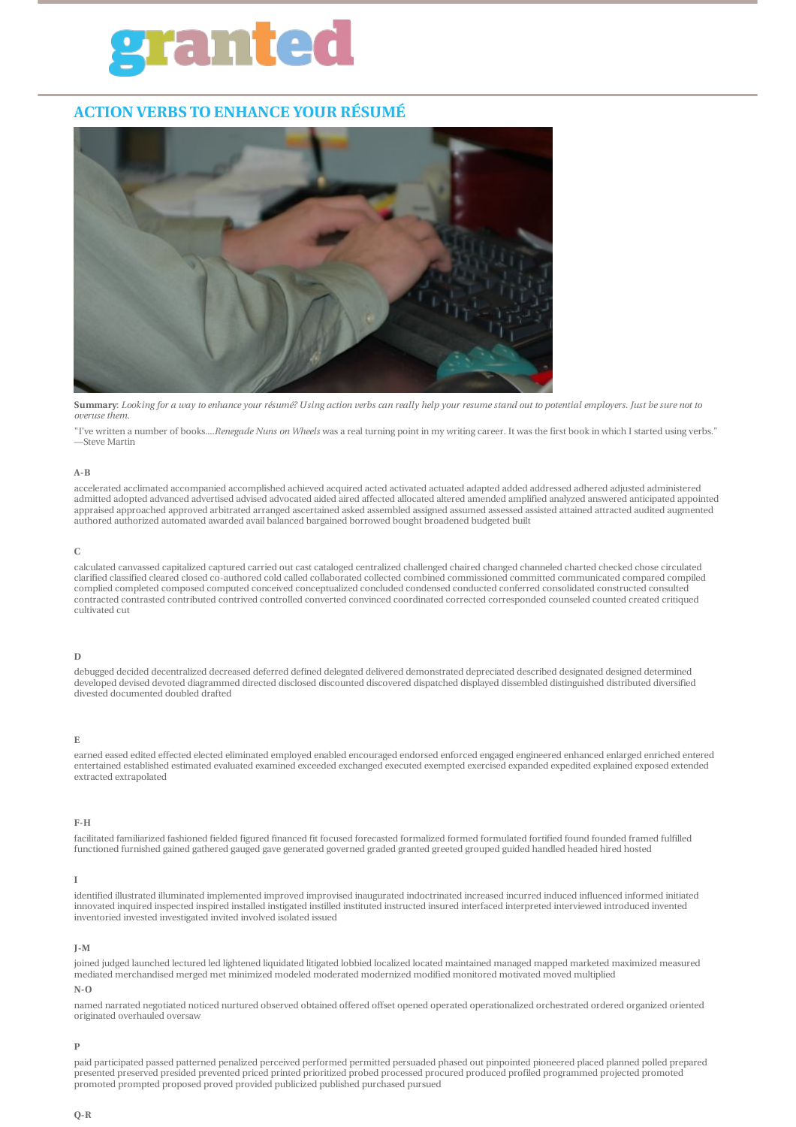# rante

# **ACTION VERBS TO ENHANCE YOUR RÉSUMÉ**



Summary: Looking for a way to enhance your résumé? Using action verbs can really help your resume stand out to potential employers. Just be sure not to *overuse them.*

"I've written a number of books....*Renegade Nuns on Wheels* was a real turning point in my writing career. It was the first book in which I started using verbs." —Steve Martin

#### **A-B**

accelerated acclimated accompanied accomplished achieved acquired acted activated actuated adapted added addressed adhered adjusted administered admitted adopted advanced advertised advised advocated aided aired affected allocated altered amended amplified analyzed answered anticipated appointed appraised approached approved arbitrated arranged ascertained asked assembled assigned assumed assessed assisted attained attracted audited augmented authored authorized automated awarded avail balanced bargained borrowed bought broadened budgeted built

#### **C**

calculated canvassed capitalized captured carried out cast cataloged centralized challenged chaired changed channeled charted checked chose circulated clarified classified cleared closed co-authored cold called collaborated collected combined commissioned committed communicated compared compiled complied completed composed computed conceived conceptualized concluded condensed conducted conferred consolidated constructed consulted contracted contrasted contributed contrived controlled converted convinced coordinated corrected corresponded counseled counted created critiqued cultivated cut

#### **D**

debugged decided decentralized decreased deferred defined delegated delivered demonstrated depreciated described designated designed determined developed devised devoted diagrammed directed disclosed discounted discovered dispatched displayed dissembled distinguished distributed diversified divested documented doubled drafted

#### **E**

earned eased edited effected elected eliminated employed enabled encouraged endorsed enforced engaged engineered enhanced enlarged enriched entered entertained established estimated evaluated examined exceeded exchanged executed exempted exercised expanded expedited explained exposed extended extracted extrapolated

#### **F-H**

facilitated familiarized fashioned fielded figured financed fit focused forecasted formalized formed formulated fortified found founded framed fulfilled functioned furnished gained gathered gauged gave generated governed graded granted greeted grouped guided handled headed hired hosted

#### **I**

identified illustrated illuminated implemented improved improvised inaugurated indoctrinated increased incurred induced influenced informed initiated innovated inquired inspected inspired installed instigated instilled instituted instructed insured interfaced interpreted interviewed introduced invented inventoried invested investigated invited involved isolated issued

#### **J-M**

joined judged launched lectured led lightened liquidated litigated lobbied localized located maintained managed mapped marketed maximized measured mediated merchandised merged met minimized modeled moderated modernized modified monitored motivated moved multiplied

#### **N-O**

named narrated negotiated noticed nurtured observed obtained offered offset opened operated operationalized orchestrated ordered organized oriented originated overhauled oversaw

#### **P**

paid participated passed patterned penalized perceived performed permitted persuaded phased out pinpointed pioneered placed planned polled prepared presented preserved presided prevented priced printed prioritized probed processed procured produced profiled programmed projected promoted promoted prompted proposed proved provided publicized published purchased pursued